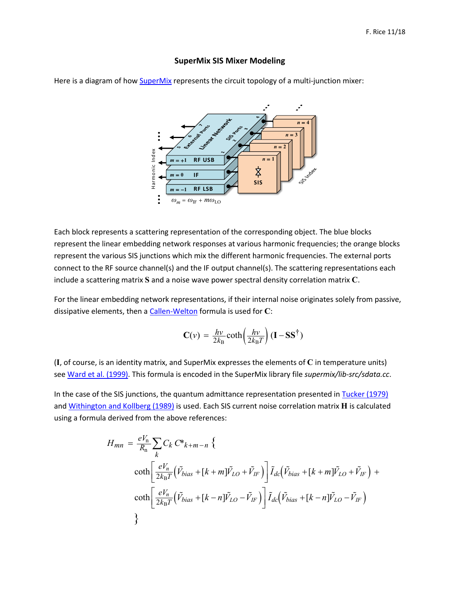## **SuperMix SIS Mixer Modeling**



Here is a diagram of how **SuperMix** represents the circuit topology of a multi-junction mixer:

Each block represents a scattering representation of the corresponding object. The blue blocks represent the linear embedding network responses at various harmonic frequencies; the orange blocks represent the various SIS junctions which mix the different harmonic frequencies. The external ports connect to the RF source channel(s) and the IF output channel(s). The scattering representations each include a scattering matrix **S** and a noise wave power spectral density correlation matrix **C**.

For the linear embedding network representations, if their internal noise originates solely from passive, dissipative elements, then a [Callen-Welton](https://link.aps.org/doi/10.1103/PhysRev.83.34) formula is used for **C**:

$$
\mathbf{C}(v) = \frac{hv}{2k_{\mathrm{B}}} \coth\left(\frac{hv}{2k_{\mathrm{B}}T}\right) (\mathbf{I} - \mathbf{S}\mathbf{S}^{\dagger})
$$

(**I**, of course, is an identity matrix, and SuperMix expresses the elements of **C** in temperature units) se[e Ward et al. \(1999\).](https://www.nrao.edu/meetings/isstt/papers/1999/1999269281.pdf) This formula is encoded in the SuperMix library file *supermix/lib-src/sdata.cc*.

In the case of the SIS junctions, the quantum admittance representation presented in [Tucker \(1979\)](https://doi.org/10.1109/JQE.1979.1069931) and [Withington and Kollberg \(1989\)](https://doi.org/10.1109/22.20043) is used. Each SIS current noise correlation matrix **H** is calculated using a formula derived from the above references:

$$
H_{mn} = \frac{eV_n}{R_n} \sum_{k} C_k C^* k + m - n \left\{ \frac{1}{2k_B T} \left( \tilde{V}_{bias} + [k+m] \tilde{V}_{LO} + \tilde{V}_{IF} \right) \right] \tilde{I}_{dc} \left( \tilde{V}_{bias} + [k+m] \tilde{V}_{LO} + \tilde{V}_{IF} \right) + \coth\left[ \frac{eV_n}{2k_B T} \left( \tilde{V}_{bias} + [k-n] \tilde{V}_{LO} - \tilde{V}_{IF} \right) \right] \tilde{I}_{dc} \left( \tilde{V}_{bias} + [k-n] \tilde{V}_{LO} - \tilde{V}_{IF} \right)
$$